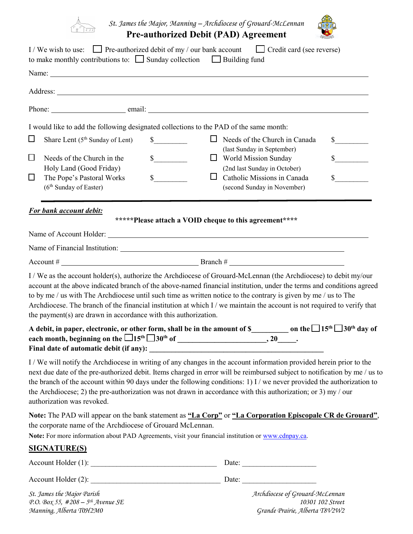

*St. James the Major, Manning – Archdiocese of Grouard-McLennan* **Pre-authorized Debit (PAD) Agreement** 

|        | I/We wish to use: $\Box$ Pre-authorized debit of my / our bank account<br>to make monthly contributions to: $\Box$ Sunday collection $\Box$ Building fund | $\Box$ Credit card (see reverse)                                                                                                                                                                                                                                                                                                                                                                                                                                                              |                             |
|--------|-----------------------------------------------------------------------------------------------------------------------------------------------------------|-----------------------------------------------------------------------------------------------------------------------------------------------------------------------------------------------------------------------------------------------------------------------------------------------------------------------------------------------------------------------------------------------------------------------------------------------------------------------------------------------|-----------------------------|
|        |                                                                                                                                                           |                                                                                                                                                                                                                                                                                                                                                                                                                                                                                               |                             |
|        |                                                                                                                                                           |                                                                                                                                                                                                                                                                                                                                                                                                                                                                                               |                             |
|        |                                                                                                                                                           |                                                                                                                                                                                                                                                                                                                                                                                                                                                                                               |                             |
|        |                                                                                                                                                           | I would like to add the following designated collections to the PAD of the same month:                                                                                                                                                                                                                                                                                                                                                                                                        |                             |
| $\Box$ | Share Lent (5 <sup>th</sup> Sunday of Lent)                                                                                                               | $\sim$<br>$\Box$ Needs of the Church in Canada<br>(last Sunday in September)                                                                                                                                                                                                                                                                                                                                                                                                                  | $\frac{\text{S}}{\text{S}}$ |
| $\Box$ | Needs of the Church in the                                                                                                                                | $\frac{\text{S}}{\text{S}}$<br>$\Box$ World Mission Sunday                                                                                                                                                                                                                                                                                                                                                                                                                                    | $\sim$                      |
| □      | Holy Land (Good Friday)<br>The Pope's Pastoral Works<br>(6 <sup>th</sup> Sunday of Easter)                                                                | (2nd last Sunday in October)<br>s<br>$\Box$<br>Catholic Missions in Canada<br>(second Sunday in November)                                                                                                                                                                                                                                                                                                                                                                                     | $\sim$                      |
|        | <b>For bank account debit:</b>                                                                                                                            | *****Please attach a VOID cheque to this agreement****                                                                                                                                                                                                                                                                                                                                                                                                                                        |                             |
|        |                                                                                                                                                           |                                                                                                                                                                                                                                                                                                                                                                                                                                                                                               |                             |
|        |                                                                                                                                                           |                                                                                                                                                                                                                                                                                                                                                                                                                                                                                               |                             |
|        |                                                                                                                                                           |                                                                                                                                                                                                                                                                                                                                                                                                                                                                                               |                             |
|        | the payment(s) are drawn in accordance with this authorization.                                                                                           | I / We as the account holder(s), authorize the Archdiocese of Grouard-McLennan (the Archdiocese) to debit my/our<br>account at the above indicated branch of the above-named financial institution, under the terms and conditions agreed<br>to by me / us with The Archdiocese until such time as written notice to the contrary is given by me / us to The<br>Archdiocese. The branch of the financial institution at which I / we maintain the account is not required to verify that      |                             |
|        |                                                                                                                                                           | A debit, in paper, electronic, or other form, shall be in the amount of \$___________ on the $\Box$ 15 <sup>th</sup> $\Box$ 30 <sup>th</sup> day of                                                                                                                                                                                                                                                                                                                                           |                             |
|        | authorization was revoked.                                                                                                                                | I / We will notify the Archdiocese in writing of any changes in the account information provided herein prior to the<br>next due date of the pre-authorized debit. Items charged in error will be reimbursed subject to notification by me / us to<br>the branch of the account within 90 days under the following conditions: 1) I / we never provided the authorization to<br>the Archdiocese; 2) the pre-authorization was not drawn in accordance with this authorization; or 3) my / our |                             |
|        | the corporate name of the Archdiocese of Grouard McLennan.                                                                                                | Note: The PAD will appear on the bank statement as "La Corp" or "La Corporation Episcopale CR de Grouard",                                                                                                                                                                                                                                                                                                                                                                                    |                             |
|        | <b>SIGNATURE(S)</b>                                                                                                                                       | Note: For more information about PAD Agreements, visit your financial institution or www.cdnpay.ca.                                                                                                                                                                                                                                                                                                                                                                                           |                             |
|        |                                                                                                                                                           |                                                                                                                                                                                                                                                                                                                                                                                                                                                                                               |                             |
|        |                                                                                                                                                           |                                                                                                                                                                                                                                                                                                                                                                                                                                                                                               |                             |
|        |                                                                                                                                                           |                                                                                                                                                                                                                                                                                                                                                                                                                                                                                               |                             |
|        | St. James the Major Parish<br>P.O. Box 55, $\#208 - 5$ <sup>th</sup> Avenue SE                                                                            | Archdiocese of Grouard-McLennan<br>10301 102 Street                                                                                                                                                                                                                                                                                                                                                                                                                                           |                             |

*Manning, Alberta T0H2M0 Grande Prairie, Alberta T8V2W2*